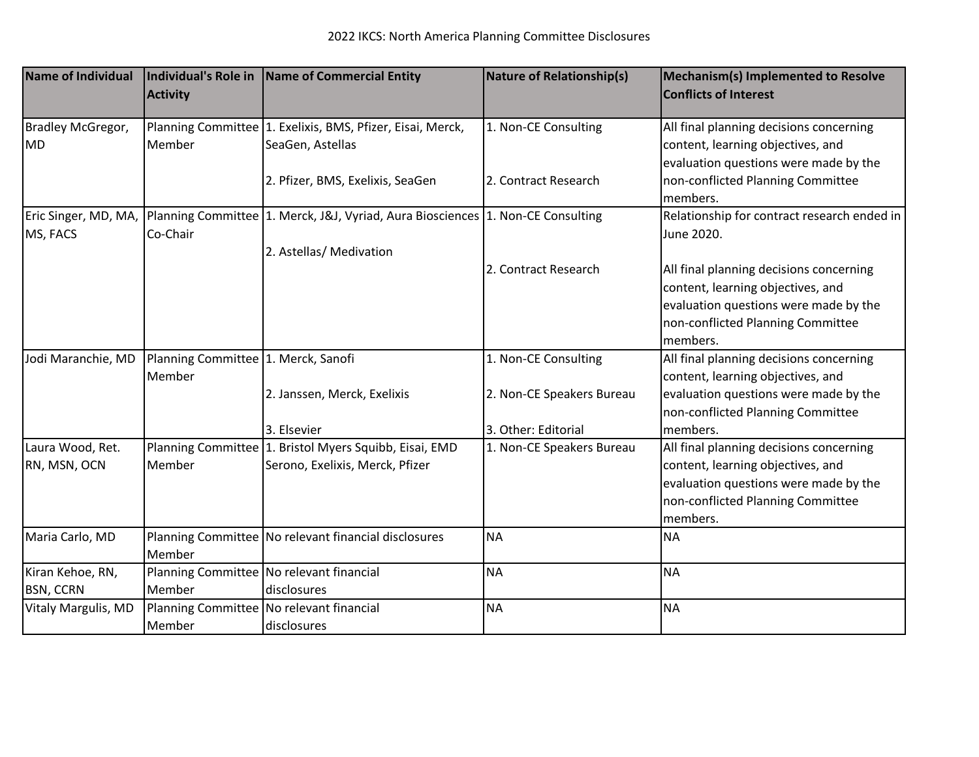| Name of Individual               | <b>Activity</b>                     | Individual's Role in   Name of Commercial Entity                                          | Nature of Relationship(s) | <b>Mechanism(s) Implemented to Resolve</b><br><b>Conflicts of Interest</b>                                            |
|----------------------------------|-------------------------------------|-------------------------------------------------------------------------------------------|---------------------------|-----------------------------------------------------------------------------------------------------------------------|
| Bradley McGregor,<br><b>MD</b>   | Member                              | Planning Committee 1. Exelixis, BMS, Pfizer, Eisai, Merck,<br>SeaGen, Astellas            | 1. Non-CE Consulting      | All final planning decisions concerning<br>content, learning objectives, and<br>evaluation questions were made by the |
|                                  |                                     | 2. Pfizer, BMS, Exelixis, SeaGen                                                          | 2. Contract Research      | non-conflicted Planning Committee<br>members.                                                                         |
| Eric Singer, MD, MA,<br>MS, FACS | Co-Chair                            | Planning Committee 1. Merck, J&J, Vyriad, Aura Biosciences 1. Non-CE Consulting           |                           | Relationship for contract research ended in<br>June 2020.                                                             |
|                                  |                                     | 2. Astellas/ Medivation                                                                   |                           |                                                                                                                       |
|                                  |                                     |                                                                                           | 2. Contract Research      | All final planning decisions concerning<br>content, learning objectives, and                                          |
|                                  |                                     |                                                                                           |                           | evaluation questions were made by the<br>non-conflicted Planning Committee<br>members.                                |
| Jodi Maranchie, MD               | Planning Committee 1. Merck, Sanofi |                                                                                           | 1. Non-CE Consulting      | All final planning decisions concerning                                                                               |
|                                  | Member                              |                                                                                           |                           | content, learning objectives, and                                                                                     |
|                                  |                                     | 2. Janssen, Merck, Exelixis                                                               | 2. Non-CE Speakers Bureau | evaluation questions were made by the                                                                                 |
|                                  |                                     |                                                                                           |                           | non-conflicted Planning Committee                                                                                     |
|                                  |                                     | 3. Elsevier                                                                               | 3. Other: Editorial       | members.                                                                                                              |
| Laura Wood, Ret.<br>RN, MSN, OCN | Member                              | Planning Committee 1. Bristol Myers Squibb, Eisai, EMD<br>Serono, Exelixis, Merck, Pfizer | 1. Non-CE Speakers Bureau | All final planning decisions concerning<br>content, learning objectives, and<br>evaluation questions were made by the |
|                                  |                                     |                                                                                           |                           | non-conflicted Planning Committee                                                                                     |
|                                  |                                     |                                                                                           |                           | members.                                                                                                              |
| Maria Carlo, MD                  |                                     | Planning Committee   No relevant financial disclosures                                    | <b>NA</b>                 | <b>NA</b>                                                                                                             |
|                                  | Member                              |                                                                                           |                           |                                                                                                                       |
| Kiran Kehoe, RN,                 |                                     | Planning Committee No relevant financial                                                  | <b>NA</b>                 | <b>NA</b>                                                                                                             |
| <b>BSN, CCRN</b>                 | Member                              | disclosures                                                                               |                           |                                                                                                                       |
| <b>Vitaly Margulis, MD</b>       |                                     | Planning Committee No relevant financial                                                  | <b>NA</b>                 | <b>NA</b>                                                                                                             |
|                                  | Member                              | disclosures                                                                               |                           |                                                                                                                       |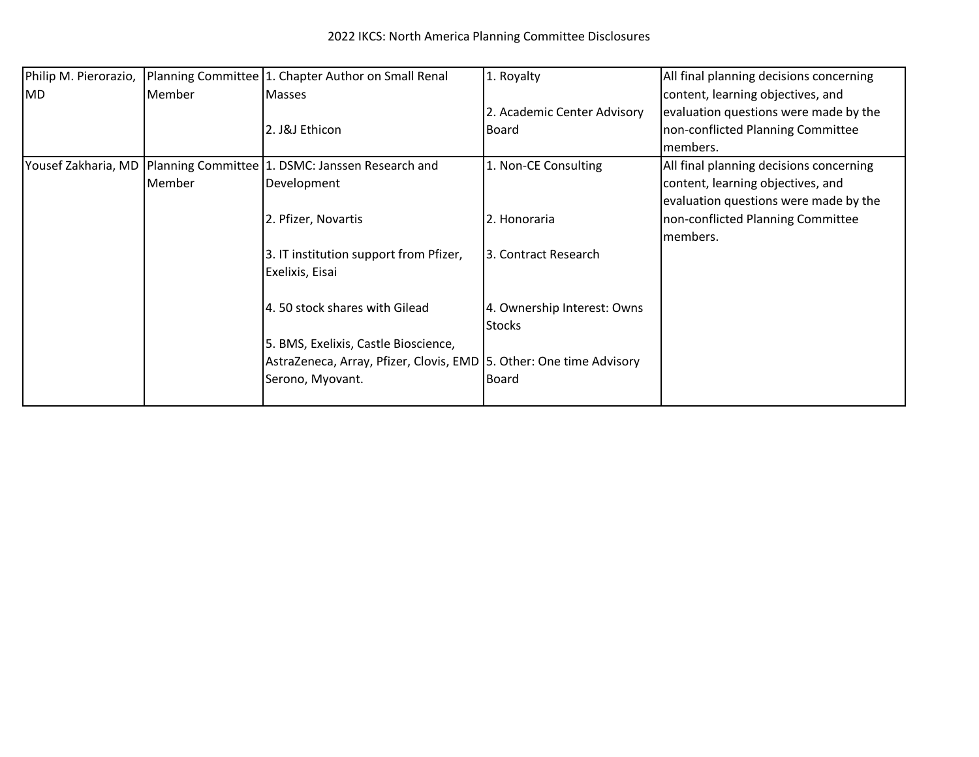| Philip M. Pierorazio, |        | Planning Committee 1. Chapter Author on Small Renal                      | 1. Royalty                  | All final planning decisions concerning |
|-----------------------|--------|--------------------------------------------------------------------------|-----------------------------|-----------------------------------------|
| MD]                   | Member | <b>Masses</b>                                                            |                             | content, learning objectives, and       |
|                       |        |                                                                          | 2. Academic Center Advisory | evaluation questions were made by the   |
|                       |        | 2. J&J Ethicon                                                           | Board                       | non-conflicted Planning Committee       |
|                       |        |                                                                          |                             | members.                                |
|                       |        | Yousef Zakharia, MD   Planning Committee   1. DSMC: Janssen Research and | 1. Non-CE Consulting        | All final planning decisions concerning |
|                       | Member | Development                                                              |                             | content, learning objectives, and       |
|                       |        |                                                                          |                             | evaluation questions were made by the   |
|                       |        | 2. Pfizer, Novartis                                                      | 2. Honoraria                | non-conflicted Planning Committee       |
|                       |        |                                                                          |                             | members.                                |
|                       |        | 3. IT institution support from Pfizer,                                   | 3. Contract Research        |                                         |
|                       |        | Exelixis, Eisai                                                          |                             |                                         |
|                       |        | 4.50 stock shares with Gilead                                            | 4. Ownership Interest: Owns |                                         |
|                       |        |                                                                          | <b>Stocks</b>               |                                         |
|                       |        | 5. BMS, Exelixis, Castle Bioscience,                                     |                             |                                         |
|                       |        | AstraZeneca, Array, Pfizer, Clovis, EMD 5. Other: One time Advisory      |                             |                                         |
|                       |        | Serono, Myovant.                                                         | Board                       |                                         |
|                       |        |                                                                          |                             |                                         |